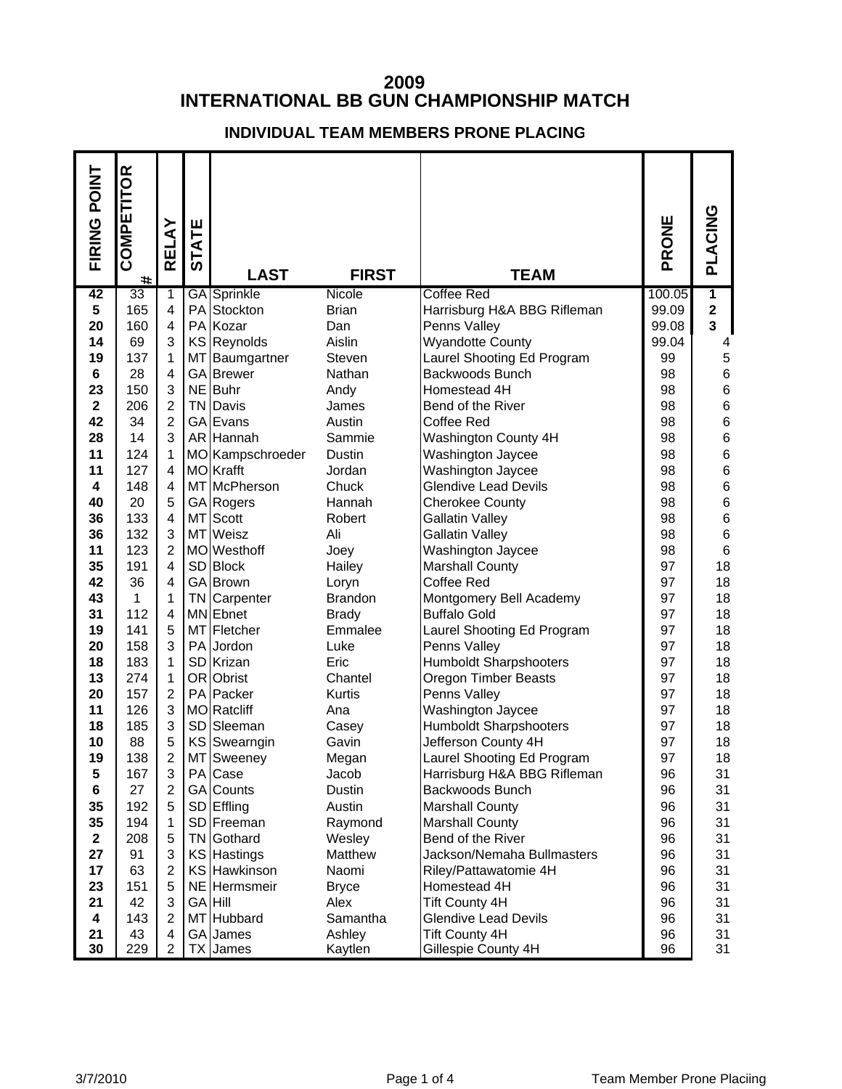## **INTERNATIONAL BB GUN CHAMPIONSHIP MATCH**

## **INDIVIDUAL TEAM MEMBERS PRONE PLACING**

| FIRING POINT            | COMPETITOR<br># | RELAY               | <b>ATE</b><br><u>ნ</u> | <b>LAST</b>          | <b>FIRST</b>    | <b>TEAM</b>                          | PRONE    | PLACING          |
|-------------------------|-----------------|---------------------|------------------------|----------------------|-----------------|--------------------------------------|----------|------------------|
| 42                      | 33              | $\mathbf 1$         |                        | <b>GA</b> Sprinkle   | Nicole          | <b>Coffee Red</b>                    | 100.05   | $\overline{1}$   |
| 5                       | 165             | $\overline{4}$      |                        | PA Stockton          | <b>Brian</b>    | Harrisburg H&A BBG Rifleman          | 99.09    | $\mathbf 2$      |
| 20                      | 160             | $\overline{4}$      |                        | PA Kozar             | Dan             | Penns Valley                         | 99.08    | 3                |
| 14                      | 69              | 3                   |                        | KS Reynolds          | Aislin          | <b>Wyandotte County</b>              | 99.04    | 4                |
| 19                      | 137             | 1                   | MT                     | Baumgartner          | Steven          | Laurel Shooting Ed Program           | 99       | $\mathbf 5$      |
| 6                       | 28              | $\overline{4}$      |                        | GA Brewer            | Nathan          | Backwoods Bunch                      | 98       | 6                |
| 23                      | 150             | 3                   |                        | NE Buhr              | Andy            | Homestead 4H                         | 98       | $\,6$            |
| $\overline{\mathbf{2}}$ | 206             | $\overline{2}$      |                        | <b>TN</b> Davis      | James           | Bend of the River                    | 98       | $\,6$            |
| 42                      | 34              | $\overline{2}$      |                        | GA Evans             | Austin          | Coffee Red                           | 98       | $\boldsymbol{6}$ |
| 28                      | 14              | 3                   |                        | AR Hannah            | Sammie          | <b>Washington County 4H</b>          | 98       | $\,$ 6 $\,$      |
| 11                      | 124             | 1                   |                        | MO Kampschroeder     | Dustin          | Washington Jaycee                    | 98       | $\,6$            |
| 11                      | 127             | $\overline{4}$      |                        | MO Krafft            | Jordan          | Washington Jaycee                    | 98       | 6                |
| 4                       | 148             | $\overline{4}$      |                        | MT McPherson         | Chuck           | <b>Glendive Lead Devils</b>          | 98       | 6                |
| 40                      | 20              | 5                   |                        | <b>GA</b> Rogers     | Hannah          | <b>Cherokee County</b>               | 98       | 6                |
| 36                      | 133             | $\overline{4}$<br>3 |                        | MT Scott<br>MT Weisz | Robert<br>Ali   | <b>Gallatin Valley</b>               | 98       | $\,6$            |
| 36                      | 132<br>123      | $\overline{2}$      |                        | MO Westhoff          |                 | <b>Gallatin Valley</b>               | 98<br>98 | $\,6$<br>$\,6$   |
| 11<br>35                | 191             | $\overline{4}$      |                        | SD Block             | Joey            | Washington Jaycee                    | 97       | 18               |
| 42                      | 36              | 4                   |                        | GA Brown             | Hailey<br>Loryn | <b>Marshall County</b><br>Coffee Red | 97       | 18               |
| 43                      | 1               | 1                   |                        | <b>TN</b> Carpenter  | <b>Brandon</b>  | Montgomery Bell Academy              | 97       | 18               |
| 31                      | 112             | 4                   |                        | MN Ebnet             | <b>Brady</b>    | <b>Buffalo Gold</b>                  | 97       | 18               |
| 19                      | 141             | 5                   |                        | MT Fletcher          | Emmalee         | Laurel Shooting Ed Program           | 97       | 18               |
| 20                      | 158             | 3                   |                        | PA Jordon            | Luke            | Penns Valley                         | 97       | 18               |
| 18                      | 183             | 1                   |                        | SD Krizan            | Eric            | <b>Humboldt Sharpshooters</b>        | 97       | 18               |
| 13                      | 274             | 1                   |                        | OR Obrist            | Chantel         | Oregon Timber Beasts                 | 97       | 18               |
| 20                      | 157             | 2                   |                        | PA Packer            | Kurtis          | Penns Valley                         | 97       | 18               |
| 11                      | 126             | 3                   |                        | MO Ratcliff          | Ana             | Washington Jaycee                    | 97       | 18               |
| 18                      | 185             | 3                   |                        | SD Sleeman           | Casey           | Humboldt Sharpshooters               | 97       | 18               |
| 10                      | 88              | 5                   |                        | <b>KS</b> Swearngin  | Gavin           | Jefferson County 4H                  | 97       | 18               |
| 19                      | 138             | 2                   |                        | MT Sweeney           | Megan           | Laurel Shooting Ed Program           | 97       | 18               |
| 5                       | 167             | 3                   |                        | PA Case              | Jacob           | Harrisburg H&A BBG Rifleman          | 96       | 31               |
| 6                       | 27              | $\overline{2}$      |                        | GA Counts            | Dustin          | Backwoods Bunch                      | 96       | 31               |
| 35                      | 192             | 5                   |                        | SD Effling           | Austin          | <b>Marshall County</b>               | 96       | 31               |
| 35                      | 194             | 1                   |                        | SD Freeman           | Raymond         | <b>Marshall County</b>               | 96       | 31               |
| $\mathbf{2}$            | 208             | 5                   | TN                     | Gothard              | Wesley          | Bend of the River                    | 96       | 31               |
| 27                      | 91              | 3                   |                        | <b>KS Hastings</b>   | Matthew         | Jackson/Nemaha Bullmasters           | 96       | 31               |
| 17                      | 63              | $\overline{2}$      |                        | KS Hawkinson         | Naomi           | Riley/Pattawatomie 4H                | 96       | 31               |
| 23                      | 151             | 5                   |                        | NE Hermsmeir         | <b>Bryce</b>    | Homestead 4H                         | 96       | 31               |
| 21                      | 42              | 3                   |                        | <b>GA Hill</b>       | Alex            | <b>Tift County 4H</b>                | 96       | 31               |
| 4                       | 143             | 2                   |                        | MT Hubbard           | Samantha        | <b>Glendive Lead Devils</b>          | 96       | 31               |
| 21                      | 43              | 4                   |                        | GA James             | Ashley          | <b>Tift County 4H</b>                | 96       | 31               |
| 30                      | 229             | $\overline{2}$      |                        | TX James             | Kaytlen         | Gillespie County 4H                  | 96       | 31               |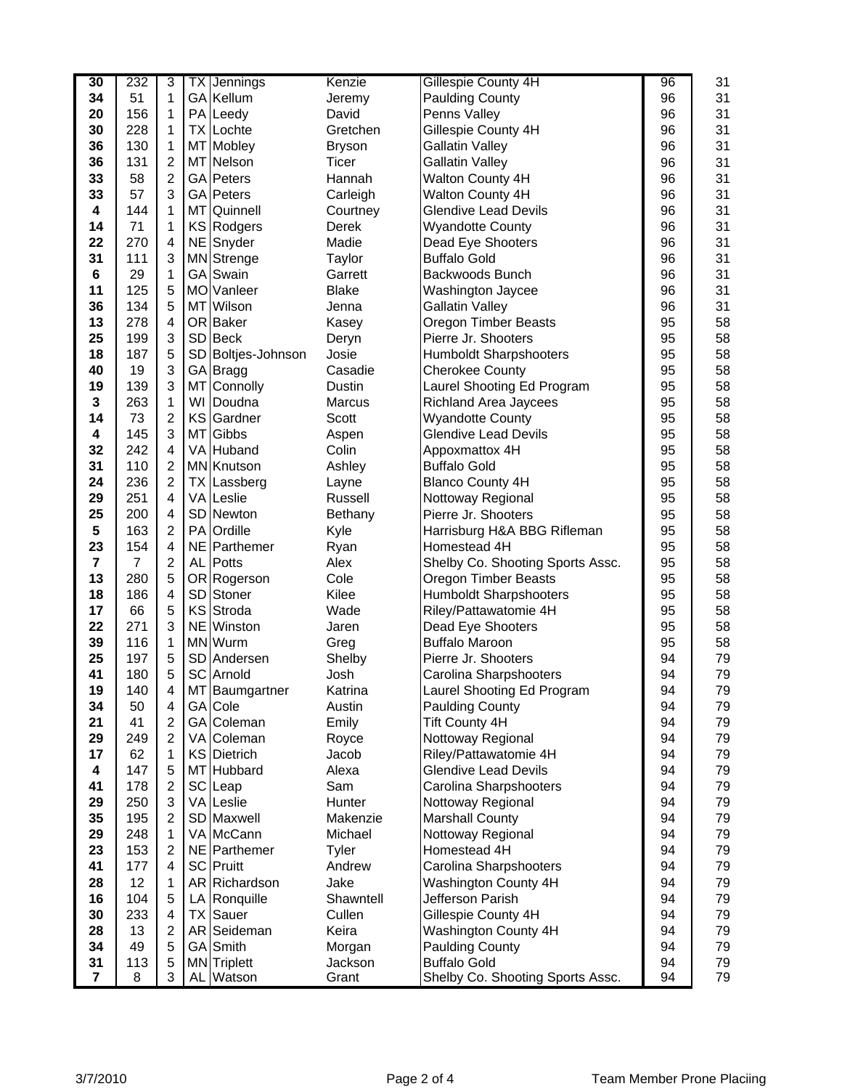| 30             | 232            | 3                       |    | <b>TX</b> Jennings | Kenzie        | Gillespie County 4H              | 96 | 31 |
|----------------|----------------|-------------------------|----|--------------------|---------------|----------------------------------|----|----|
| 34             | 51             | 1                       |    | GA Kellum          | Jeremy        | <b>Paulding County</b>           | 96 | 31 |
| 20             | 156            | 1                       |    | PA Leedy           | David         | Penns Valley                     | 96 | 31 |
| 30             | 228            | 1                       |    | TX Lochte          | Gretchen      | Gillespie County 4H              | 96 | 31 |
| 36             | 130            | 1                       |    | MT Mobley          | <b>Bryson</b> | <b>Gallatin Valley</b>           | 96 | 31 |
| 36             | 131            | $\overline{2}$          |    | MT Nelson          | Ticer         | <b>Gallatin Valley</b>           | 96 | 31 |
| 33             | 58             | $\overline{2}$          |    | <b>GA</b> Peters   | Hannah        | Walton County 4H                 | 96 | 31 |
| 33             | 57             | 3                       |    | GA Peters          | Carleigh      | Walton County 4H                 | 96 | 31 |
| 4              | 144            | 1                       |    | MT Quinnell        | Courtney      | <b>Glendive Lead Devils</b>      | 96 | 31 |
| 14             | 71             | 1                       |    | KS Rodgers         | Derek         | <b>Wyandotte County</b>          | 96 | 31 |
| 22             | 270            | 4                       |    | NE Snyder          | Madie         | Dead Eye Shooters                | 96 | 31 |
| 31             | 111            | 3                       |    | MN Strenge         | Taylor        | <b>Buffalo Gold</b>              | 96 | 31 |
| $\bf 6$        | 29             | 1                       |    | <b>GA</b> Swain    | Garrett       | Backwoods Bunch                  | 96 | 31 |
| 11             | 125            | 5                       |    | MO Vanleer         | <b>Blake</b>  | Washington Jaycee                | 96 | 31 |
| 36             | 134            | 5                       |    | MT Wilson          | Jenna         | <b>Gallatin Valley</b>           | 96 | 31 |
| 13             | 278            | 4                       |    | OR Baker           | Kasey         | <b>Oregon Timber Beasts</b>      | 95 | 58 |
| 25             | 199            | 3                       |    | SD Beck            | Deryn         | Pierre Jr. Shooters              | 95 | 58 |
| 18             | 187            | 5                       |    | SD Boltjes-Johnson | Josie         | Humboldt Sharpshooters           | 95 | 58 |
| 40             | 19             | 3                       |    | GA Bragg           | Casadie       | <b>Cherokee County</b>           | 95 | 58 |
| 19             | 139            | 3                       |    | MT Connolly        | Dustin        | Laurel Shooting Ed Program       | 95 | 58 |
| $\mathbf 3$    | 263            | 1                       |    | WI Doudna          | Marcus        | Richland Area Jaycees            | 95 | 58 |
| 14             | 73             | $\overline{2}$          |    | KS Gardner         | Scott         | <b>Wyandotte County</b>          | 95 | 58 |
| 4              | 145            | 3                       | MT | Gibbs              | Aspen         | <b>Glendive Lead Devils</b>      | 95 | 58 |
| 32             | 242            | 4                       |    | VA Huband          | Colin         | Appoxmattox 4H                   | 95 | 58 |
| 31             | 110            | $\overline{c}$          |    | <b>MN</b> Knutson  | Ashley        | <b>Buffalo Gold</b>              | 95 | 58 |
| 24             | 236            | $\overline{2}$          |    | <b>TX Lassberg</b> | Layne         | <b>Blanco County 4H</b>          | 95 | 58 |
| 29             | 251            | 4                       |    | VA Leslie          | Russell       | Nottoway Regional                | 95 | 58 |
| 25             | 200            | 4                       |    | SD Newton          | Bethany       | Pierre Jr. Shooters              | 95 | 58 |
| 5              | 163            | $\overline{2}$          |    | PA Ordille         | Kyle          | Harrisburg H&A BBG Rifleman      | 95 | 58 |
| 23             | 154            | 4                       |    | NE Parthemer       | Ryan          | Homestead 4H                     | 95 | 58 |
| 7              | $\overline{7}$ | $\overline{c}$          |    | AL Potts           | Alex          | Shelby Co. Shooting Sports Assc. | 95 | 58 |
| 13             | 280            | 5                       |    | OR Rogerson        | Cole          | Oregon Timber Beasts             | 95 | 58 |
| 18             | 186            | 4                       |    | SD Stoner          | Kilee         | Humboldt Sharpshooters           | 95 | 58 |
| 17             | 66             | 5                       |    | KS Stroda          | Wade          | Riley/Pattawatomie 4H            | 95 | 58 |
| 22             | 271            | 3                       |    | NE Winston         | Jaren         | Dead Eye Shooters                | 95 | 58 |
| 39             | 116            | 1                       |    | MN Wurm            | Greg          | <b>Buffalo Maroon</b>            | 95 | 58 |
| 25             | 197            | 5                       |    | SD Andersen        | Shelby        | Pierre Jr. Shooters              | 94 | 79 |
| 41             | 180            | 5                       |    | SC Arnold          | Josh          | Carolina Sharpshooters           | 94 | 79 |
| 19             | 140            | Δ                       |    | MT Baumgartner     | Katrina       | Laurel Shooting Ed Program       | 94 | 79 |
| 34             | 50             | 4                       |    | GA Cole            | Austin        | <b>Paulding County</b>           | 94 | 79 |
| 21             | 41             | $\overline{2}$          |    | GA Coleman         | Emily         | <b>Tift County 4H</b>            | 94 | 79 |
| 29             | 249            | $\overline{2}$          |    | VA Coleman         | Royce         | Nottoway Regional                | 94 | 79 |
| 17             | 62             | 1                       |    | KS Dietrich        | Jacob         | Riley/Pattawatomie 4H            | 94 | 79 |
| 4              | 147            | 5                       |    | MT Hubbard         | Alexa         | <b>Glendive Lead Devils</b>      | 94 | 79 |
| 41             | 178            | $\overline{2}$          |    | SC Leap            | Sam           | Carolina Sharpshooters           | 94 | 79 |
| 29             | 250            | 3                       |    | VA Leslie          | Hunter        | Nottoway Regional                | 94 | 79 |
| 35             | 195            | $\overline{c}$          |    | SD Maxwell         | Makenzie      | <b>Marshall County</b>           | 94 | 79 |
| 29             | 248            | 1                       |    | VA McCann          | Michael       | Nottoway Regional                | 94 | 79 |
| 23             | 153            | $\overline{2}$          |    | NE Parthemer       | Tyler         | Homestead 4H                     | 94 | 79 |
| 41             | 177            | $\overline{\mathbf{4}}$ |    | SC Pruitt          | Andrew        | Carolina Sharpshooters           | 94 | 79 |
| 28             | 12             | 1                       |    | AR Richardson      | Jake          | Washington County 4H             | 94 | 79 |
| 16             | 104            | 5                       |    | LA Ronquille       | Shawntell     | Jefferson Parish                 | 94 | 79 |
| 30             | 233            | 4                       |    | <b>TX</b> Sauer    | Cullen        | Gillespie County 4H              | 94 | 79 |
| 28             | 13             | $\boldsymbol{2}$        |    | AR Seideman        | Keira         | Washington County 4H             | 94 | 79 |
| 34             | 49             | 5                       |    | GA Smith           | Morgan        | <b>Paulding County</b>           | 94 | 79 |
| 31             | 113            | 5                       |    | MN Triplett        | Jackson       | <b>Buffalo Gold</b>              | 94 | 79 |
| $\overline{7}$ | 8              | 3                       |    | AL Watson          | Grant         | Shelby Co. Shooting Sports Assc. | 94 | 79 |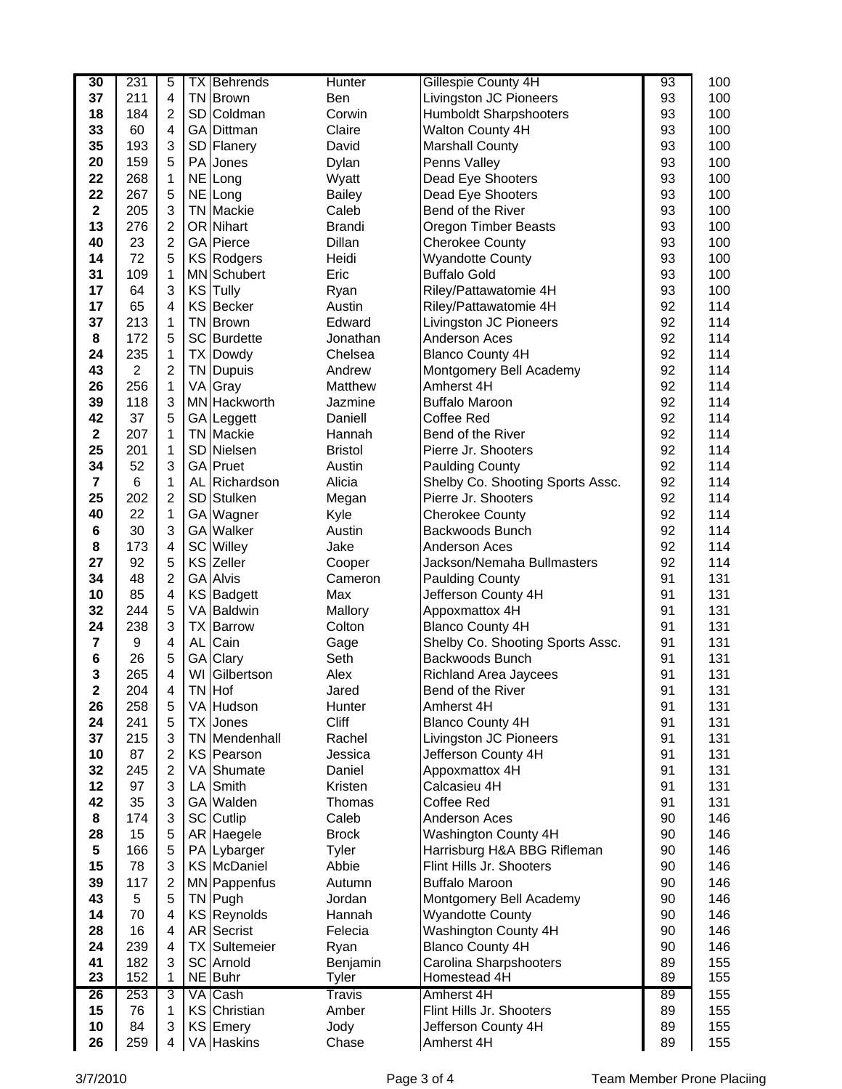| 10<br>26                      | 84<br>259      | 4                       |      | KS Emery<br>VA Haskins   | Jody<br>Chase   | Jefferson County 4H<br>Amherst 4H                           | 89<br>89 | 155<br>155 |
|-------------------------------|----------------|-------------------------|------|--------------------------|-----------------|-------------------------------------------------------------|----------|------------|
| 15                            | 76             | $\mathbf{1}$<br>3       |      | KS Christian             | Amber           | Flint Hills Jr. Shooters                                    | 89       | 155        |
| 26                            | 253            | 3                       |      | VA Cash                  | Travis          | Amherst 4H                                                  | 89       | 155        |
| 23                            | 152            | 1                       |      | NE Buhr                  | <b>Tyler</b>    | Homestead 4H                                                | 89       | 155        |
| 41                            | 182            | 3                       |      | <b>SC</b> Arnold         | Benjamin        | Carolina Sharpshooters                                      | 89       | 155        |
| 24                            | 239            | $\overline{4}$          |      | <b>TX Sultemeier</b>     | Ryan            | <b>Blanco County 4H</b>                                     | 90       | 146        |
| 28                            | 16             | $\overline{4}$          |      | AR Secrist               | Felecia         | Washington County 4H                                        | 90       | 146        |
| 14                            | 70             | 4                       |      | KS Reynolds              | Hannah          | <b>Wyandotte County</b>                                     | 90       | 146        |
| 43                            | 5              | 5                       |      | TN Pugh                  | Jordan          | Montgomery Bell Academy                                     | 90       | 146        |
| 39                            | 117            | $\overline{c}$          |      | MN Pappenfus             | Autumn          | <b>Buffalo Maroon</b>                                       | 90       | 146        |
| 15                            | 78             | 3                       |      | KS McDaniel              | Abbie           | Flint Hills Jr. Shooters                                    | 90       | 146        |
| 5                             | 166            | 5                       |      | PA Lybarger              | Tyler           | Harrisburg H&A BBG Rifleman                                 | 90       | 146        |
| 28                            | 15             | 5                       |      | AR Haegele               | <b>Brock</b>    | Washington County 4H                                        | 90       | 146        |
| 8                             | 174            | 3                       |      | SC Cutlip                | Caleb           | Anderson Aces                                               | 90       | 146        |
| 42                            | 35             | 3                       |      | GA Walden                | Thomas          | Coffee Red                                                  | 91       | 131        |
| 12                            | 97             | 3                       | LA I | Smith                    | Kristen         | Calcasieu 4H                                                | 91       | 131        |
| 32                            | 245            | $\overline{c}$          |      | VA Shumate               | Daniel          | Appoxmattox 4H                                              | 91       | 131        |
| 10                            | 87             | $\overline{c}$          |      | KS Pearson               | Jessica         | Jefferson County 4H                                         | 91       | 131        |
| 37                            | 215            | 3                       |      | <b>TN</b> Mendenhall     | Rachel          | Livingston JC Pioneers                                      | 91       | 131        |
| 24                            | 241            | 5                       |      | <b>TX</b> Jones          | Cliff           | <b>Blanco County 4H</b>                                     | 91       | 131        |
| 26                            | 258            | 5                       |      | VA Hudson                | <b>Hunter</b>   | Amherst 4H                                                  | 91       | 131        |
| $\mathbf 2$                   | 204            | 4                       |      | TN Hof                   | Jared           | Bend of the River                                           | 91       | 131        |
| 3                             | 265            | $\overline{\mathbf{4}}$ |      | WI Gilbertson            | Alex            | <b>Richland Area Jaycees</b>                                | 91       | 131        |
| $\bf 6$                       | 26             | 4<br>5                  | AL I | Cain<br>GA Clary         | Gage<br>Seth    | Backwoods Bunch                                             | 91       | 131<br>131 |
| $\overline{\mathbf{7}}$       | 9              |                         |      |                          | Colton          | <b>Blanco County 4H</b><br>Shelby Co. Shooting Sports Assc. | 91       | 131        |
| 24                            | 238            | 3                       |      | <b>TX Barrow</b>         |                 | Appoxmattox 4H                                              | 91       |            |
| 32                            | 244            | 5                       |      | VA Baldwin               | Mallory         |                                                             | 91       | 131        |
| 10                            | 85             | 4                       |      | KS Badgett               | Max             | Jefferson County 4H                                         | 91       | 131        |
| 34                            | 48             | $\overline{c}$          |      | <b>GA Alvis</b>          | Cameron         | <b>Paulding County</b>                                      | 91       | 131        |
| 27                            | 92             | 5                       |      | KS Zeller                | Cooper          | Jackson/Nemaha Bullmasters                                  | 92       | 114        |
| 8                             | 173            | $\overline{4}$          |      | <b>SC</b> Willey         | Jake            | Anderson Aces                                               | 92       | 114        |
| 6                             | 30             | 3                       |      | GA Walker                | Austin          | Backwoods Bunch                                             | 92       | 114        |
| 40                            | 22             | 1                       |      | SD Stulken<br>GA Wagner  | Megan<br>Kyle   | <b>Cherokee County</b>                                      | 92       | 114        |
| 25                            | 202            | $\overline{c}$          |      | AL Richardson            | Alicia          | Shelby Co. Shooting Sports Assc.<br>Pierre Jr. Shooters     | 92       | 114        |
| 34<br>$\overline{\mathbf{r}}$ | 52<br>6        | 3<br>1                  |      | GA Pruet                 | Austin          | <b>Paulding County</b>                                      | 92<br>92 | 114<br>114 |
| 25                            | 201            | 1                       |      | SD Nielsen               | <b>Bristol</b>  | Pierre Jr. Shooters                                         | 92       | 114        |
| $\mathbf{2}$                  | 207            | 1                       |      | <b>TN</b> Mackie         | Hannah          | Bend of the River                                           | 92       | 114        |
| 42                            | 37             | 5                       |      | GA Leggett               | Daniell         | Coffee Red                                                  | 92       | 114        |
| 39                            | 118            | 3                       |      | MN Hackworth             | Jazmine         | <b>Buffalo Maroon</b>                                       | 92       | 114        |
| 26                            | 256            | $\mathbf{1}$            |      | VA Gray                  | Matthew         | Amherst 4H                                                  | 92       | 114        |
| 43                            | $\overline{2}$ | $\overline{c}$          |      | TN Dupuis                | Andrew          | Montgomery Bell Academy                                     | 92       | 114        |
| 24                            | 235            | $\mathbf{1}$            |      | <b>TX Dowdy</b>          | Chelsea         | <b>Blanco County 4H</b>                                     | 92       | 114        |
| 8                             | 172            | 5                       |      | SC Burdette              | Jonathan        | Anderson Aces                                               | 92       | 114        |
| 37                            | 213            | 1                       |      | <b>TN</b> Brown          | Edward          | Livingston JC Pioneers                                      | 92       | 114        |
| 17                            | 65             | 4                       |      | KS Becker                | Austin          | Riley/Pattawatomie 4H                                       | 92       | 114        |
| 17                            | 64             | 3                       |      | KS Tully                 | Ryan            | Riley/Pattawatomie 4H                                       | 93       | 100        |
| 31                            | 109            | 1                       |      | <b>MN</b> Schubert       | Eric            | <b>Buffalo Gold</b>                                         | 93       | 100        |
| 14                            | 72             | 5                       |      | KS Rodgers               | Heidi           | <b>Wyandotte County</b>                                     | 93       | 100        |
| 40                            | 23             | $\overline{c}$          |      | GA Pierce                | Dillan          | <b>Cherokee County</b>                                      | 93       | 100        |
| 13                            | 276            | $\overline{c}$          |      | OR Nihart                | <b>Brandi</b>   | Oregon Timber Beasts                                        | 93       | 100        |
| $\mathbf{2}$                  | 205            | 3                       |      | <b>TN</b> Mackie         | Caleb           | Bend of the River                                           | 93       | 100        |
| 22                            | 267            | 5                       |      | NE Long                  | <b>Bailey</b>   | Dead Eye Shooters                                           | 93       | 100        |
| 22                            | 268            | 1                       |      | NE Long                  | Wyatt           | Dead Eye Shooters                                           | 93       | 100        |
| 20                            | 159            | 5                       |      | PA Jones                 | Dylan           | Penns Valley                                                | 93       | 100        |
| 33<br>35                      | 60<br>193      | 4<br>3                  |      | GA Dittman<br>SD Flanery | Claire<br>David | Walton County 4H<br><b>Marshall County</b>                  | 93<br>93 | 100<br>100 |
| 18                            | 184            | $\overline{c}$          |      | SD Coldman               | Corwin          | Humboldt Sharpshooters                                      | 93       | 100        |
| 37                            | 211            | $\overline{\mathbf{4}}$ |      | TN Brown                 | Ben             | Livingston JC Pioneers                                      | 93       | 100        |
| 30                            | 231            | 5                       |      | <b>TX Behrends</b>       | Hunter          | Gillespie County 4H                                         | 93       | 100        |
|                               |                |                         |      |                          |                 |                                                             |          |            |